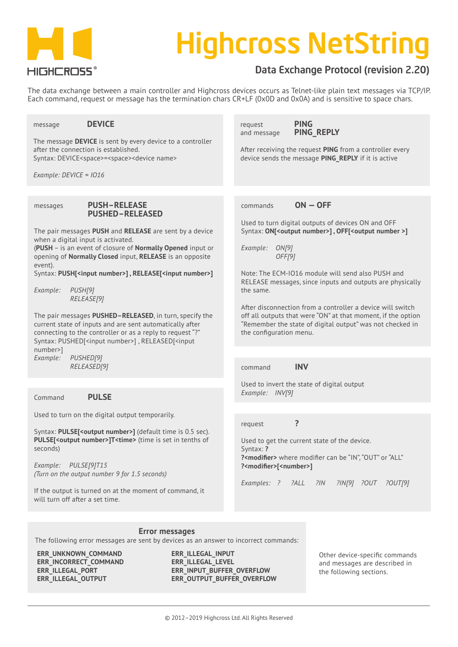

# Highcross NetString

## Data Exchange Protocol (revision 2.20)

The data exchange between a main controller and Highcross devices occurs as Telnet-like plain text messages via TCP/IP. Each command, request or message has the termination chars CR+LF (0x0D and 0x0A) and is sensitive to space chars.

message **DEVICE** The message **DEVICE** is sent by every device to a controller after the connection is established. Syntax: DEVICE<space>=<space><device name> *Example: DEVICE = IO16* messages **PUSH–RELEASE PUSHED–RELEASED** The pair messages **PUSH** and **RELEASE** are sent by a device when a digital input is activated. (**PUSH** – is an event of closure of **Normally Opened** input or opening of **Normally Closed** input, **RELEASE** is an opposite event). Syntax: **PUSH[<input number>] , RELEASE[<input number>]** *Example: PUSH[9] RELEASE[9]* The pair messages **PUSHED–RELEASED**, in turn, specify the current state of inputs and are sent automatically after connecting to the controller or as a reply to request "?" Syntax: PUSHED[<input number>] , RELEASED[<input number>] *Example: PUSHED[9] RELEASED[9]* Command **PULSE** Used to turn on the digital output temporarily. Syntax: **PULSEI<output number>1** (default time is 0.5 sec). **PULSE[<output number>]T<time>** (time is set in tenths of seconds) *Example: PULSE[9]T15 (Turn on the output number 9 for 1.5 seconds)* If the output is turned on at the moment of command, it will turn off after a set time*.* request **PING** and message **PING\_REPLY** After receiving the request **PING** from a controller every device sends the message **PING\_REPLY** if it is active commands **ON — OFF** Used to turn digital outputs of devices ON and OFF Syntax: **ON[<output number>]**, **OFF[<output number >]** *Example: ON[9] OFF[9]* Note: The ECM-IO16 module will send also PUSH and RELEASE messages, since inputs and outputs are physically the same. After disconnection from a controller a device will switch off all outputs that were "ON" at that moment, if the option "Remember the state of digital output" was not checked in the configuration menu. command **INV** Used to invert the state of digital output *Example: INV[9]* request **?** Used to get the current state of the device. Syntax: **? ?<modifier>** where modifier can be "IN", "OUT" or "ALL" **?<modifier>[<number>]** *Examples: ? ?ALL ?IN ?IN[9] ?OUT ?OUT[9]*

## **Error messages**

The following error messages are sent by devices as an answer to incorrect commands:

**ERR\_UNKNOWN\_COMMAND ERR\_INCORRECT\_COMMAND ERR\_ILLEGAL\_PORT ERR\_ILLEGAL\_OUTPUT**

**ERR\_ILLEGAL\_INPUT ERR\_ILLEGAL\_LEVEL ERR\_INPUT\_BUFFER\_OVERFLOW ERR\_OUTPUT\_BUFFER\_OVERFLOW**

Other device-specific commands and messages are described in the following sections.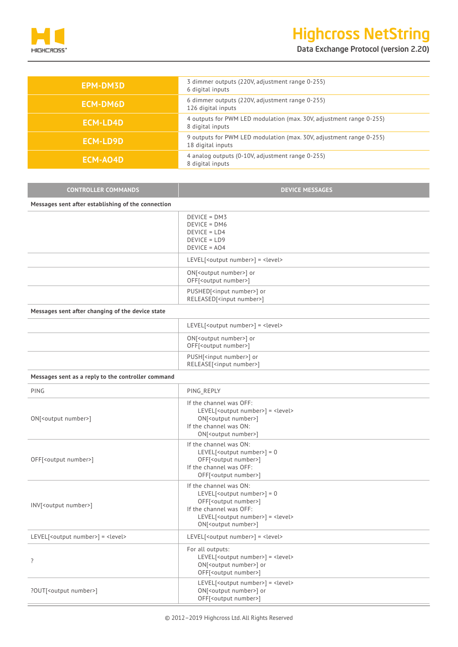

## Highcross NetString

Data Exchange Protocol (version 2.20)

| EPM-DM3D        | 3 dimmer outputs (220V, adjustment range 0-255)<br>6 digital inputs                      |
|-----------------|------------------------------------------------------------------------------------------|
| <b>ECM-DM6D</b> | 6 dimmer outputs (220V, adjustment range 0-255)<br>126 digital inputs                    |
| <b>ECM-LD4D</b> | 4 outputs for PWM LED modulation (max. 30V, adjustment range 0-255)<br>8 digital inputs  |
| <b>ECM-LD9D</b> | 9 outputs for PWM LED modulation (max. 30V, adjustment range 0-255)<br>18 digital inputs |
| ECM-AO4D        | 4 analog outputs (0-10V, adjustment range 0-255)<br>8 digital inputs                     |

| <b>CONTROLLER COMMANDS</b>                         | <b>DEVICE MESSAGES</b>                                                                 |
|----------------------------------------------------|----------------------------------------------------------------------------------------|
| Messages sent after establishing of the connection |                                                                                        |
|                                                    | $DEVICE = DMS$<br>$DEVICE = DMG$<br>$DEVICE = LDA$<br>$DEVICE = LDP$<br>$DEVICE = AO4$ |
|                                                    | LEVEL[ <output number="">] = <level></level></output>                                  |
|                                                    | ON[ <output number="">] or<br/>OFF[<output number="">]</output></output>               |
|                                                    | PUSHED[ <input number=""/> ] or<br>RELEASED[ <input number=""/> ]                      |

| Messages sent after changing of the device state |  |  |  |
|--------------------------------------------------|--|--|--|
|                                                  |  |  |  |

| $LEVEL$ [ <output number="">] = <level></level></output>                 |
|--------------------------------------------------------------------------|
| ON[ <output number="">] or<br/>OFF[<output number="">]</output></output> |
| PUSH[ <input number=""/> ] or<br>RELEASE[ <input number=""/> ]           |

### **Messages sent as a reply to the controller command**

| PING                                                  | PING_REPLY                                                                                                                                                                                                                      |  |  |
|-------------------------------------------------------|---------------------------------------------------------------------------------------------------------------------------------------------------------------------------------------------------------------------------------|--|--|
| ON[ <output number="">]</output>                      | If the channel was OFF:<br>LEVEL[ <output number="">] = <level><br/>ON[<output number="">]<br/>If the channel was ON:<br/>ON[<output number="">]</output></output></level></output>                                             |  |  |
| OFF[ <output number="">]</output>                     | If the channel was ON:<br>LEVEL[ <output number="">] = 0<br/>OFF[<output number="">]<br/>If the channel was OFF:<br/>OFF[<output number="">]</output></output></output>                                                         |  |  |
| INV[ <output number="">]</output>                     | If the channel was ON:<br>LEVEL[ <output number="">] = 0<br/>OFF[<output number="">]<br/>If the channel was OFF:<br/>LEVEL[<output number="">] = <level><br/>ON[<output number="">]</output></level></output></output></output> |  |  |
| LEVEL[ <output number="">] = <level></level></output> | LEVEL[ <output number="">] = <level></level></output>                                                                                                                                                                           |  |  |
| $\overline{?}$                                        | For all outputs:<br>LEVEL[ <output number="">] = <level><br/>ON[<output number="">] or<br/>OFF[<output number="">]</output></output></level></output>                                                                           |  |  |
| ?OUT[ <output number="">]</output>                    | LEVEL[ <output number="">] = <level><br/>ON[<output number="">] or<br/>OFF[<output number="">]</output></output></level></output>                                                                                               |  |  |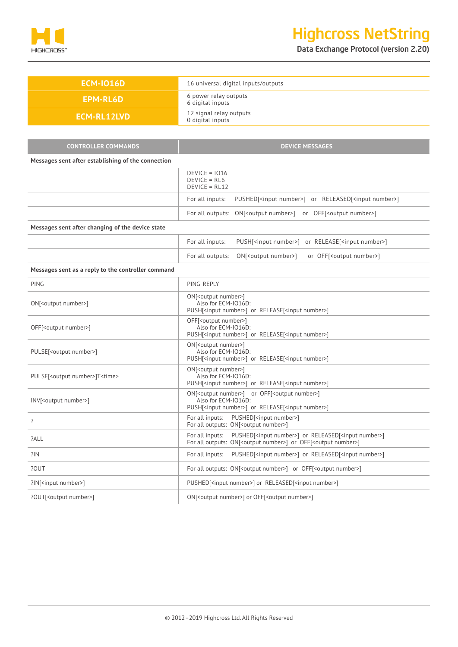

| <b>ECM-IO16D</b>                                   | 16 universal digital inputs/outputs                                                                                                                                        |  |  |
|----------------------------------------------------|----------------------------------------------------------------------------------------------------------------------------------------------------------------------------|--|--|
| <b>EPM-RL6D</b>                                    | 6 power relay outputs<br>6 digital inputs                                                                                                                                  |  |  |
| <b>ECM-RL12LVD</b>                                 | 12 signal relay outputs<br>0 digital inputs                                                                                                                                |  |  |
|                                                    |                                                                                                                                                                            |  |  |
| <b>CONTROLLER COMMANDS</b>                         | <b>DEVICE MESSAGES</b>                                                                                                                                                     |  |  |
| Messages sent after establishing of the connection |                                                                                                                                                                            |  |  |
|                                                    | $DEVICE = 1016$<br>$DEVICE = RL6$<br>$DEVICE = RL12$                                                                                                                       |  |  |
|                                                    | PUSHED[ <input number=""/> ] or RELEASED[ <input number=""/> ]<br>For all inputs:                                                                                          |  |  |
|                                                    | For all outputs: ON[ <output number="">] or OFF[<output number="">]</output></output>                                                                                      |  |  |
| Messages sent after changing of the device state   |                                                                                                                                                                            |  |  |
|                                                    | For all inputs:<br>PUSH[ <input number=""/> ] or RELEASE[ <input number=""/> ]                                                                                             |  |  |
|                                                    | ON[ <output number="">]<br/>or OFF[<output number="">]<br/>For all outputs:</output></output>                                                                              |  |  |
| Messages sent as a reply to the controller command |                                                                                                                                                                            |  |  |
| <b>PING</b>                                        | PING REPLY                                                                                                                                                                 |  |  |
| ON[ <output number="">]</output>                   | ON[ <output number="">]<br/>Also for ECM-IO16D:<br/>PUSH[<input number=""/>] or RELEASE[<input number=""/>]</output>                                                       |  |  |
| OFF[ <output number="">]</output>                  | OFF[ <output number="">]<br/>Also for ECM-IO16D:<br/>PUSH[<input number=""/>] or RELEASE[<input number=""/>]</output>                                                      |  |  |
| PULSE[ <output number="">]</output>                | ON[ <output number="">]<br/>Also for ECM-IO16D:<br/>PUSH[<input number=""/>] or RELEASE[<input number=""/>]</output>                                                       |  |  |
| PULSE[ <output number="">]T<time></time></output>  | ON[ <output number="">]<br/>Also for ECM-IO16D:<br/>PUSH[<input number=""/>] or RELEASE[<input number=""/>]</output>                                                       |  |  |
| INV[ <output number="">]</output>                  | ON[ <output number="">] or OFF[<output number="">]<br/>Also for ECM-IO16D:<br/>PUSH[<input number=""/>] or RELEASE[<input number=""/>]</output></output>                   |  |  |
|                                                    | For all inputs: PUSHED[ <input number=""/> ]<br>For all outputs: ON[ <output number="">]</output>                                                                          |  |  |
| ?ALL                                               | PUSHED[ <input number=""/> ] or RELEASED[ <input number=""/> ]<br>For all inputs:<br>For all outputs: ON[ <output number="">] or OFF[<output number="">]</output></output> |  |  |
| ?IN                                                | PUSHED[ <input number=""/> ] or RELEASED[ <input number=""/> ]<br>For all inputs:                                                                                          |  |  |
| ?OUT                                               | For all outputs: ON[ <output number="">] or OFF[<output number="">]</output></output>                                                                                      |  |  |
| ?IN[ <input number=""/> ]                          | PUSHED[ <input number=""/> ] or RELEASED[ <input number=""/> ]                                                                                                             |  |  |
| ?OUT[ <output number="">]</output>                 | ON[ <output number="">] or OFF[<output number="">]</output></output>                                                                                                       |  |  |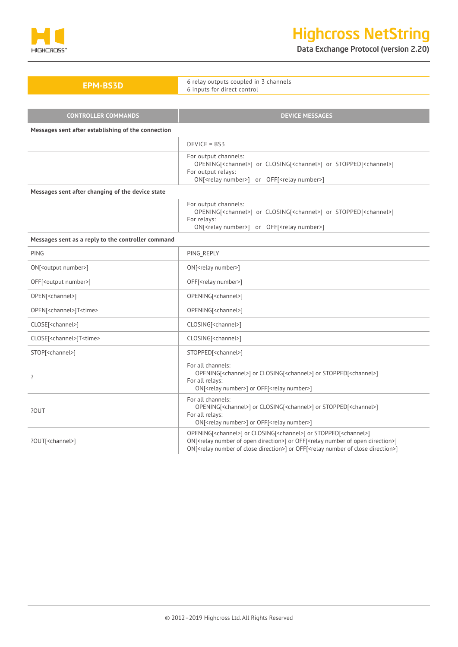

Data Exchange Protocol (version 2.20)

| <b>EPM-BS3D</b>                                    | 6 relay outputs coupled in 3 channels<br>6 inputs for direct control                                                                                                                                                    |  |
|----------------------------------------------------|-------------------------------------------------------------------------------------------------------------------------------------------------------------------------------------------------------------------------|--|
|                                                    |                                                                                                                                                                                                                         |  |
| <b>CONTROLLER COMMANDS</b>                         | <b>DEVICE MESSAGES</b>                                                                                                                                                                                                  |  |
| Messages sent after establishing of the connection |                                                                                                                                                                                                                         |  |
|                                                    | $DEVICE = BSS$                                                                                                                                                                                                          |  |
|                                                    | For output channels:<br>OPENING[ <channel>] or CLOSING[<channel>] or STOPPED[<channel>]<br/>For output relays:<br/>ON[<relay number="">] or OFF[<relay number="">]</relay></relay></channel></channel></channel>        |  |
| Messages sent after changing of the device state   |                                                                                                                                                                                                                         |  |
|                                                    | For output channels:<br>OPENING[ <channel>] or CLOSING[<channel>] or STOPPED[<channel>]<br/>For relays:<br/>ON[<relay number="">] or OFF[<relay number="">]</relay></relay></channel></channel></channel>               |  |
| Messages sent as a reply to the controller command |                                                                                                                                                                                                                         |  |
| PING                                               | PING REPLY                                                                                                                                                                                                              |  |
| ON[ <output number="">]</output>                   | ON[ <relay number="">]</relay>                                                                                                                                                                                          |  |
| OFF[ <output number="">]</output>                  | OFF[ <relay number="">]</relay>                                                                                                                                                                                         |  |
| OPEN[ <channel>]</channel>                         | OPENING[ <channel>]</channel>                                                                                                                                                                                           |  |
| OPEN[ <channel>]T<time></time></channel>           | OPENING[ <channel>]</channel>                                                                                                                                                                                           |  |
| CLOSE[ <channel>]</channel>                        | CLOSING[ <channel>]</channel>                                                                                                                                                                                           |  |
| CLOSE[ <channel>]T<time></time></channel>          | CLOSING[ <channel>]</channel>                                                                                                                                                                                           |  |
| STOP[ <channel>]</channel>                         | STOPPED[ <channel>]</channel>                                                                                                                                                                                           |  |
| ?                                                  | For all channels:<br>OPENING[ <channel>] or CLOSING[<channel>] or STOPPED[<channel>]<br/>For all relays:<br/>ON[<relay number="">] or OFF[<relay number="">]</relay></relay></channel></channel></channel>              |  |
| ?OUT                                               | For all channels:<br>OPENING[ <channel>] or CLOSING[<channel>] or STOPPED[<channel>]<br/>For all relays:<br/>ON[<relay number="">] or OFF[<relay number="">]</relay></relay></channel></channel></channel>              |  |
| ?OUT[ <channel>]</channel>                         | OPENING[ <channel>] or CLOSING[<channel>] or STOPPED[<channel>]<br/>ON[<relay direction="" number="" of="" open="">] or OFF[<relay direction="" number="" of="" open="">]</relay></relay></channel></channel></channel> |  |

ON[<relay number of close direction>] or OFF[<relay number of close direction>]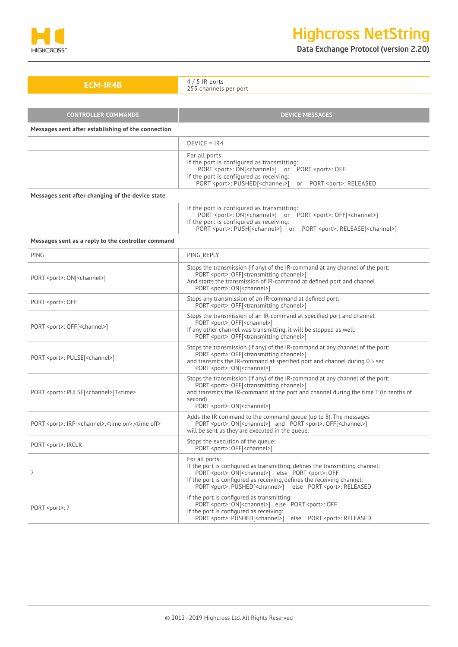

Data Exchange Protocol (version 2.20)

| <b>ECM-IR4B</b>                                                                      | $4/5$ IR ports<br>255 channels per port                                                                                                                                                                                                                                                                                                         |  |  |
|--------------------------------------------------------------------------------------|-------------------------------------------------------------------------------------------------------------------------------------------------------------------------------------------------------------------------------------------------------------------------------------------------------------------------------------------------|--|--|
|                                                                                      |                                                                                                                                                                                                                                                                                                                                                 |  |  |
| <b>CONTROLLER COMMANDS</b>                                                           | <b>DEVICE MESSAGES</b>                                                                                                                                                                                                                                                                                                                          |  |  |
| Messages sent after establishing of the connection                                   |                                                                                                                                                                                                                                                                                                                                                 |  |  |
|                                                                                      | $DEVICE = IR4$                                                                                                                                                                                                                                                                                                                                  |  |  |
|                                                                                      | For all ports:<br>If the port is configured as transmitting:<br>PORT <port>: ON[<channel>] or PORT <port>: OFF<br/>If the port is configured as receiving:<br/>PORT <port>: PUSHED[<channel>] or PORT <port>: RELEASED</port></channel></port></port></channel></port>                                                                          |  |  |
| Messages sent after changing of the device state                                     |                                                                                                                                                                                                                                                                                                                                                 |  |  |
|                                                                                      | If the port is configured as transmitting:<br>PORT <port>: ON[<channel>] or PORT <port>: OFF[<channel>]<br/>If the port is configured as receiving:<br/>PORT <port>: PUSH[<channel>] or PORT <port>: RELEASE[<channel>]</channel></port></channel></port></channel></port></channel></port>                                                     |  |  |
| Messages sent as a reply to the controller command                                   |                                                                                                                                                                                                                                                                                                                                                 |  |  |
| <b>PING</b>                                                                          | PING REPLY                                                                                                                                                                                                                                                                                                                                      |  |  |
| PORT <port>: ON[<channel>]</channel></port>                                          | Stops the transmission (if any) of the IR-command at any channel of the port:<br>PORT <port>: OFF[<transmitting channel="">]<br/>And starts the transmission of IR-command at defined port and channel<br/>PORT <port>: ON[<channel>]</channel></port></transmitting></port>                                                                    |  |  |
| PORT <port>: OFF</port>                                                              | Stops any transmission of an IR-command at defined port:<br>PORT <port>: OFF[<transmitting channel="">]</transmitting></port>                                                                                                                                                                                                                   |  |  |
| PORT <port>: OFF[<channel>]</channel></port>                                         | Stops the transmission of an IR-command at specified port and channel.<br>PORT <port>: OFF[<channel>]<br/>If any other channel was transmitting, it will be stopped as well:<br/>PORT <port>: OFF[<transmitting channel="">]</transmitting></port></channel></port>                                                                             |  |  |
| PORT <port>: PULSE[<channel>]</channel></port>                                       | Stops the transmission (if any) of the IR-command at any channel of the port:<br>PORT <port>: OFF[<transmitting channel="">]<br/>and transmits the IR-command at specified port and channel during 0.5 sec<br/>PORT <port>: ON[<channel>]</channel></port></transmitting></port>                                                                |  |  |
| PORT <port>: PULSE[<channel>]T<time></time></channel></port>                         | Stops the transmission (if any) of the IR-command at any channel of the port:<br>PORT <port>: OFF[<transmitting channel="">]<br/>and transmits the IR-command at the port and channel during the time T (in tenths of<br/>second)<br/>PORT <port>: ON[<channel>]</channel></port></transmitting></port>                                         |  |  |
| PORT <port>: IRP-<channel>,<time on="">,<time off=""></time></time></channel></port> | Adds the IR command to the command queue (up to 8). The messages<br>PORT <port>: ON[<channel>] and PORT <port>: OFF[<channel>]<br/>will be sent as they are executed in the queue.</channel></port></channel></port>                                                                                                                            |  |  |
| PORT <port>: IRCLR</port>                                                            | Stops the execution of the queue:<br>PORT <port>: OFF[<channel>].</channel></port>                                                                                                                                                                                                                                                              |  |  |
| ?                                                                                    | For all ports:<br>If the port is configured as transmitting, defines the transmitting channel:<br>PORT <port>: ON[<channel>] else PORT <port>: OFF<br/>If the port is configured as receiving, defines the receiving channel:<br/>PORT <port>: PUSHED[<channel>]<br/>else PORT <port>: RELEASED</port></channel></port></port></channel></port> |  |  |
| PORT <port>: ?</port>                                                                | If the port is configured as transmitting:<br>PORT <port>: ON[<channel>] else PORT <port>: OFF<br/>If the port is configured as receiving:</port></channel></port>                                                                                                                                                                              |  |  |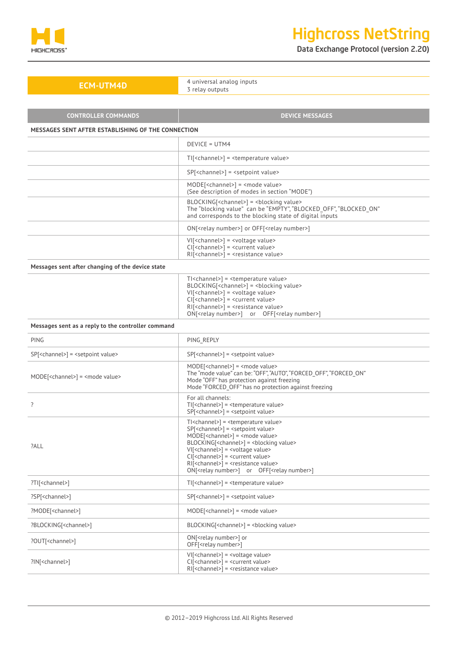

Data Exchange Protocol (version 2.20)

**ECM-UTM4D** 4 universal analog inputs 3 relay outputs

| <b>CONTROLLER COMMANDS</b>                                | <b>DEVICE MESSAGES</b>                                                                                                                                                                                                                                                                                                                                                                                                                                                                                                        |  |
|-----------------------------------------------------------|-------------------------------------------------------------------------------------------------------------------------------------------------------------------------------------------------------------------------------------------------------------------------------------------------------------------------------------------------------------------------------------------------------------------------------------------------------------------------------------------------------------------------------|--|
| MESSAGES SENT AFTER ESTABLISHING OF THE CONNECTION        |                                                                                                                                                                                                                                                                                                                                                                                                                                                                                                                               |  |
|                                                           | DEVICE = UTM4                                                                                                                                                                                                                                                                                                                                                                                                                                                                                                                 |  |
|                                                           | TI[ <channel>] = <temperature value=""></temperature></channel>                                                                                                                                                                                                                                                                                                                                                                                                                                                               |  |
|                                                           | SP[ <channel>] = <setpoint value=""></setpoint></channel>                                                                                                                                                                                                                                                                                                                                                                                                                                                                     |  |
|                                                           | $MODE[$ = $<$ mode value><br>(See description of modes in section "MODE")                                                                                                                                                                                                                                                                                                                                                                                                                                                     |  |
|                                                           | BLOCKING[ <channel>] = <blocking value=""><br/>The "blocking value" can be "EMPTY", "BLOCKED_OFF", "BLOCKED ON"<br/>and corresponds to the blocking state of digital inputs</blocking></channel>                                                                                                                                                                                                                                                                                                                              |  |
|                                                           | ON[ <relay number="">] or OFF[<relay number="">]</relay></relay>                                                                                                                                                                                                                                                                                                                                                                                                                                                              |  |
|                                                           | VI[ <channel>] = <voltage value=""><br/>CI[<channel>] = <current value=""><br/>RI[<channel>] = <resistance value=""></resistance></channel></current></channel></voltage></channel>                                                                                                                                                                                                                                                                                                                                           |  |
| Messages sent after changing of the device state          |                                                                                                                                                                                                                                                                                                                                                                                                                                                                                                                               |  |
|                                                           | TI <channel>] = <temperature value=""><br/>BLOCKING[<channel>] = <blocking value=""><br/>VI[<channel>] = <voltage value=""><br/><math>Cl[5 channel&gt;</math> = <math>6 current value</math><br/><math>RI[&lt;</math>channel&gt;<math>] =</math><resistance value=""><br/>ON[<relay number="">] or OFF[<relay number="">]</relay></relay></resistance></voltage></channel></blocking></channel></temperature></channel>                                                                                                       |  |
| Messages sent as a reply to the controller command        |                                                                                                                                                                                                                                                                                                                                                                                                                                                                                                                               |  |
| PING                                                      | PING REPLY                                                                                                                                                                                                                                                                                                                                                                                                                                                                                                                    |  |
| SP[ <channel>] = <setpoint value=""></setpoint></channel> | SP[ <channel>] = <setpoint value=""></setpoint></channel>                                                                                                                                                                                                                                                                                                                                                                                                                                                                     |  |
| MODE[ <channel>] = <mode value=""></mode></channel>       | MODE[ <channel>] = <mode value=""><br/>The "mode value" can be: "OFF", "AUTO", "FORCED_OFF", "FORCED_ON"<br/>Mode "OFF" has protection against freezing<br/>Mode "FORCED_OFF" has no protection against freezing</mode></channel>                                                                                                                                                                                                                                                                                             |  |
| ?                                                         | For all channels:<br>TI[ <channel>] = <temperature value=""><br/>SP[<channel>] = <setpoint value=""></setpoint></channel></temperature></channel>                                                                                                                                                                                                                                                                                                                                                                             |  |
| ?ALL                                                      | TI <channel>] = <temperature value=""><br/>SP[<channel>] = <setpoint value=""><br/><math>MODE</math>[<channel>] = <mode value=""><br/>BLOCKING[<channel>] = <blocking value=""><br/>VI[<channel>] = <voltage value=""><br/>CI[<channel>] = <current value=""><br/>RI[<channel>] = <resistance value=""><br/>ON[<relay number="">] or OFF[<relay number="">]</relay></relay></resistance></channel></current></channel></voltage></channel></blocking></channel></mode></channel></setpoint></channel></temperature></channel> |  |
| ?TI[ <channel>]</channel>                                 | TI[ <channel>] = <temperature value=""></temperature></channel>                                                                                                                                                                                                                                                                                                                                                                                                                                                               |  |
| ?SP[ <channel>]</channel>                                 | SP[ <channel>] = <setpoint value=""></setpoint></channel>                                                                                                                                                                                                                                                                                                                                                                                                                                                                     |  |
| ?MODE[ <channel>]</channel>                               | MODE[ <channel>] = <mode value=""></mode></channel>                                                                                                                                                                                                                                                                                                                                                                                                                                                                           |  |
| ?BLOCKING[ <channel>]</channel>                           | BLOCKING[ <channel>] = <blocking value=""></blocking></channel>                                                                                                                                                                                                                                                                                                                                                                                                                                                               |  |
| ?OUT[ <channel>]</channel>                                | ON[ <relay number="">] or<br/>OFF[<relay number="">]</relay></relay>                                                                                                                                                                                                                                                                                                                                                                                                                                                          |  |
| ?IN[ <channel>]</channel>                                 | VI[ <channel>] = <voltage value=""><br/>CI[<channel>] = <current value=""><br/>RI[<channel>] = <resistance value=""></resistance></channel></current></channel></voltage></channel>                                                                                                                                                                                                                                                                                                                                           |  |